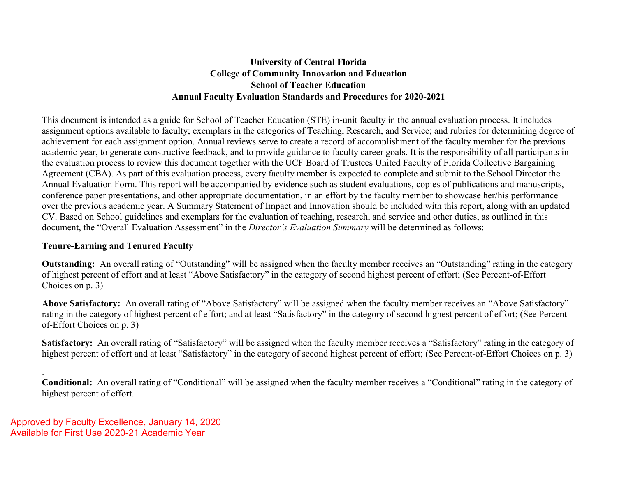# **University of Central Florida College of Community Innovation and Education School of Teacher Education Annual Faculty Evaluation Standards and Procedures for 2020-2021**

This document is intended as a guide for School of Teacher Education (STE) in-unit faculty in the annual evaluation process. It includes assignment options available to faculty; exemplars in the categories of Teaching, Research, and Service; and rubrics for determining degree of achievement for each assignment option. Annual reviews serve to create a record of accomplishment of the faculty member for the previous academic year, to generate constructive feedback, and to provide guidance to faculty career goals. It is the responsibility of all participants in the evaluation process to review this document together with the UCF Board of Trustees United Faculty of Florida Collective Bargaining Agreement (CBA). As part of this evaluation process, every faculty member is expected to complete and submit to the School Director the Annual Evaluation Form. This report will be accompanied by evidence such as student evaluations, copies of publications and manuscripts, conference paper presentations, and other appropriate documentation, in an effort by the faculty member to showcase her/his performance over the previous academic year. A Summary Statement of Impact and Innovation should be included with this report, along with an updated CV. Based on School guidelines and exemplars for the evaluation of teaching, research, and service and other duties, as outlined in this document, the "Overall Evaluation Assessment" in the *Director's Evaluation Summary* will be determined as follows:

# **Tenure-Earning and Tenured Faculty**

**Outstanding:** An overall rating of "Outstanding" will be assigned when the faculty member receives an "Outstanding" rating in the category of highest percent of effort and at least "Above Satisfactory" in the category of second highest percent of effort; (See Percent-of-Effort Choices on p. 3)

**Above Satisfactory:** An overall rating of "Above Satisfactory" will be assigned when the faculty member receives an "Above Satisfactory" rating in the category of highest percent of effort; and at least "Satisfactory" in the category of second highest percent of effort; (See Percent of-Effort Choices on p. 3)

**Satisfactory:** An overall rating of "Satisfactory" will be assigned when the faculty member receives a "Satisfactory" rating in the category of highest percent of effort and at least "Satisfactory" in the category of second highest percent of effort; (See Percent-of-Effort Choices on p. 3)

. **Conditional:** An overall rating of "Conditional" will be assigned when the faculty member receives a "Conditional" rating in the category of highest percent of effort.

Approved by Faculty Excellence, January 14, 2020 Available for First Use 2020-21 Academic Year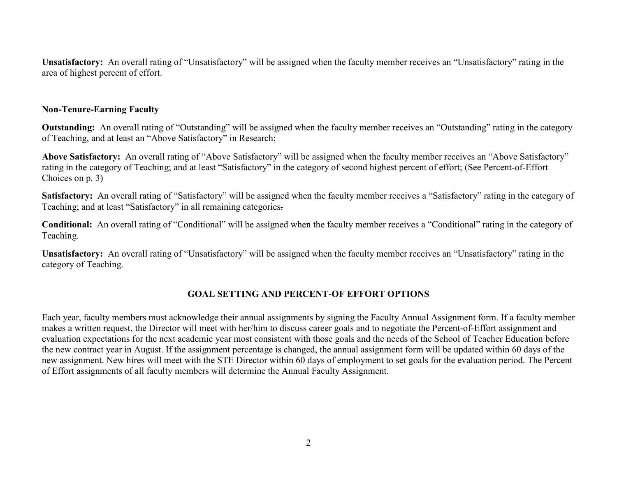**Unsatisfactory:** An overall rating of "Unsatisfactory" will be assigned when the faculty member receives an "Unsatisfactory" rating in the area of highest percent of effort.

### **Non-Tenure-Earning Faculty**

**Outstanding:** An overall rating of "Outstanding" will be assigned when the faculty member receives an "Outstanding" rating in the category of Teaching, and at least an "Above Satisfactory" in Research;

**Above Satisfactory:** An overall rating of "Above Satisfactory" will be assigned when the faculty member receives an "Above Satisfactory" rating in the category of Teaching; and at least "Satisfactory" in the category of second highest percent of effort; (See Percent-of-Effort Choices on p. 3)

**Satisfactory:** An overall rating of "Satisfactory" will be assigned when the faculty member receives a "Satisfactory" rating in the category of Teaching; and at least "Satisfactory" in all remaining categories.

**Conditional:** An overall rating of "Conditional" will be assigned when the faculty member receives a "Conditional" rating in the category of Teaching.

**Unsatisfactory:** An overall rating of "Unsatisfactory" will be assigned when the faculty member receives an "Unsatisfactory" rating in the category of Teaching.

# **GOAL SETTING AND PERCENT-OF EFFORT OPTIONS**

Each year, faculty members must acknowledge their annual assignments by signing the Faculty Annual Assignment form. If a faculty member makes a written request, the Director will meet with her/him to discuss career goals and to negotiate the Percent-of-Effort assignment and evaluation expectations for the next academic year most consistent with those goals and the needs of the School of Teacher Education before the new contract year in August. If the assignment percentage is changed, the annual assignment form will be updated within 60 days of the new assignment. New hires will meet with the STE Director within 60 days of employment to set goals for the evaluation period. The Percent of Effort assignments of all faculty members will determine the Annual Faculty Assignment.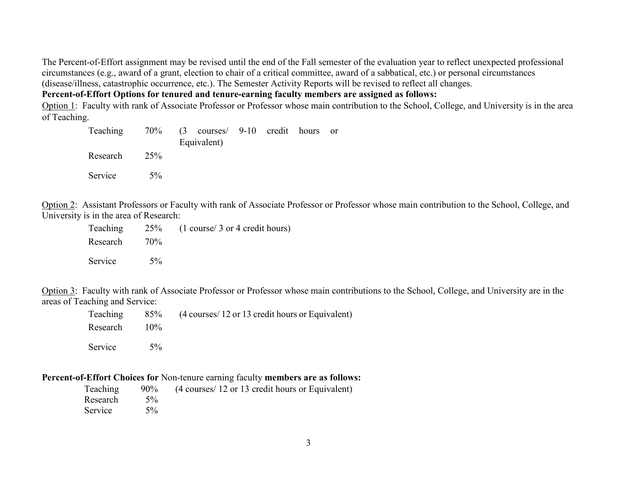The Percent-of-Effort assignment may be revised until the end of the Fall semester of the evaluation year to reflect unexpected professional circumstances (e.g., award of a grant, election to chair of a critical committee, award of a sabbatical, etc.) or personal circumstances (disease/illness, catastrophic occurrence, etc.). The Semester Activity Reports will be revised to reflect all changes.

**Percent-of-Effort Options for tenured and tenure-earning faculty members are assigned as follows:** 

Option 1: Faculty with rank of Associate Professor or Professor whose main contribution to the School, College, and University is in the area of Teaching.

| Teaching |       | 70% (3 courses/ 9-10 credit hours or<br>Equivalent) |  |  |
|----------|-------|-----------------------------------------------------|--|--|
| Research | 25%   |                                                     |  |  |
| Service  | $5\%$ |                                                     |  |  |

Option 2: Assistant Professors or Faculty with rank of Associate Professor or Professor whose main contribution to the School, College, and University is in the area of Research:

|              |       | Teaching 25% (1 course/ 3 or 4 credit hours) |
|--------------|-------|----------------------------------------------|
| Research 70% |       |                                              |
| Service      | $5\%$ |                                              |

Option 3: Faculty with rank of Associate Professor or Professor whose main contributions to the School, College, and University are in the areas of Teaching and Service:

|                 |       | Teaching 85% (4 courses/12 or 13 credit hours or Equivalent) |
|-----------------|-------|--------------------------------------------------------------|
| Research $10\%$ |       |                                                              |
| Service         | $5\%$ |                                                              |

### **Percent-of-Effort Choices for** Non-tenure earning faculty **members are as follows:**

|               | Teaching 90% (4 courses/ 12 or 13 credit hours or Equivalent) |
|---------------|---------------------------------------------------------------|
| Research 5%   |                                                               |
| Service $5\%$ |                                                               |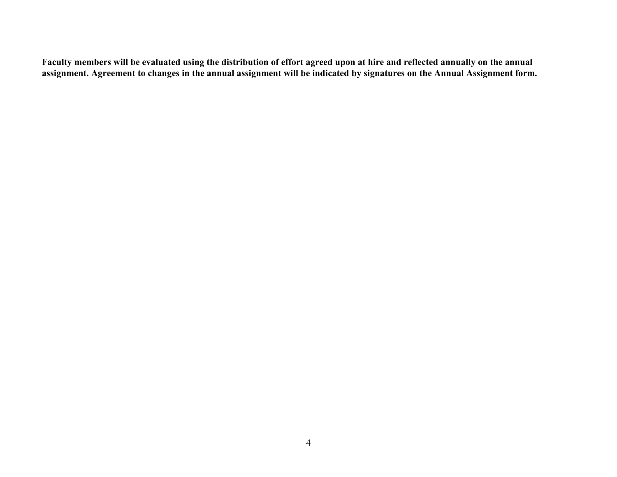**Faculty members will be evaluated using the distribution of effort agreed upon at hire and reflected annually on the annual assignment. Agreement to changes in the annual assignment will be indicated by signatures on the Annual Assignment form.**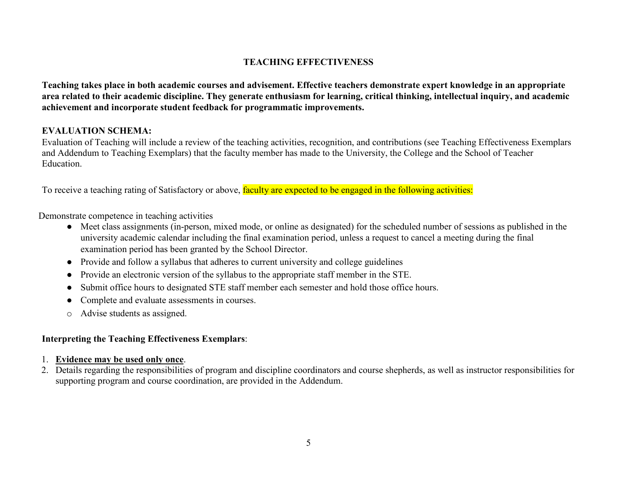# **TEACHING EFFECTIVENESS**

**Teaching takes place in both academic courses and advisement. Effective teachers demonstrate expert knowledge in an appropriate area related to their academic discipline. They generate enthusiasm for learning, critical thinking, intellectual inquiry, and academic achievement and incorporate student feedback for programmatic improvements.** 

# **EVALUATION SCHEMA:**

Evaluation of Teaching will include a review of the teaching activities, recognition, and contributions (see Teaching Effectiveness Exemplars and Addendum to Teaching Exemplars) that the faculty member has made to the University, the College and the School of Teacher Education.

To receive a teaching rating of Satisfactory or above, faculty are expected to be engaged in the following activities:

Demonstrate competence in teaching activities

- Meet class assignments (in-person, mixed mode, or online as designated) for the scheduled number of sessions as published in the university academic calendar including the final examination period, unless a request to cancel a meeting during the final examination period has been granted by the School Director.
- Provide and follow a syllabus that adheres to current university and college guidelines
- Provide an electronic version of the syllabus to the appropriate staff member in the STE.
- Submit office hours to designated STE staff member each semester and hold those office hours.
- Complete and evaluate assessments in courses.
- o Advise students as assigned.

# **Interpreting the Teaching Effectiveness Exemplars**:

# 1. **Evidence may be used only once**.

2. Details regarding the responsibilities of program and discipline coordinators and course shepherds, as well as instructor responsibilities for supporting program and course coordination, are provided in the Addendum.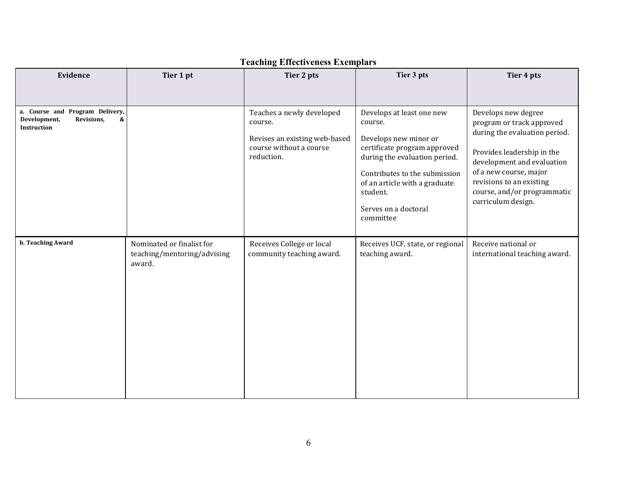| Evidence                                                                          | Tier 1 pt                                                          | Tier 2 pts                                                                                                     | Tier 3 pts                                                                                                                                                                                                                                        | Tier 4 pts                                                                                                                                                                                                                                               |
|-----------------------------------------------------------------------------------|--------------------------------------------------------------------|----------------------------------------------------------------------------------------------------------------|---------------------------------------------------------------------------------------------------------------------------------------------------------------------------------------------------------------------------------------------------|----------------------------------------------------------------------------------------------------------------------------------------------------------------------------------------------------------------------------------------------------------|
|                                                                                   |                                                                    |                                                                                                                |                                                                                                                                                                                                                                                   |                                                                                                                                                                                                                                                          |
| a. Course and Program Delivery,<br>Development,<br>Revisions,<br>&<br>Instruction |                                                                    | Teaches a newly developed<br>course.<br>Revises an existing web-based<br>course without a course<br>reduction. | Develops at least one new<br>course.<br>Develops new minor or<br>certificate program approved<br>during the evaluation period.<br>Contributes to the submission<br>of an article with a graduate<br>student.<br>Serves on a doctoral<br>committee | Develops new degree<br>program or track approved<br>during the evaluation period.<br>Provides leadership in the<br>development and evaluation<br>of a new course, major<br>revisions to an existing<br>course, and/or programmatic<br>curriculum design. |
| b. Teaching Award                                                                 | Nominated or finalist for<br>teaching/mentoring/advising<br>award. | Receives College or local<br>community teaching award.                                                         | Receives UCF, state, or regional<br>teaching award.                                                                                                                                                                                               | Receive national or<br>international teaching award.                                                                                                                                                                                                     |

# **Teaching Effectiveness Exemplars**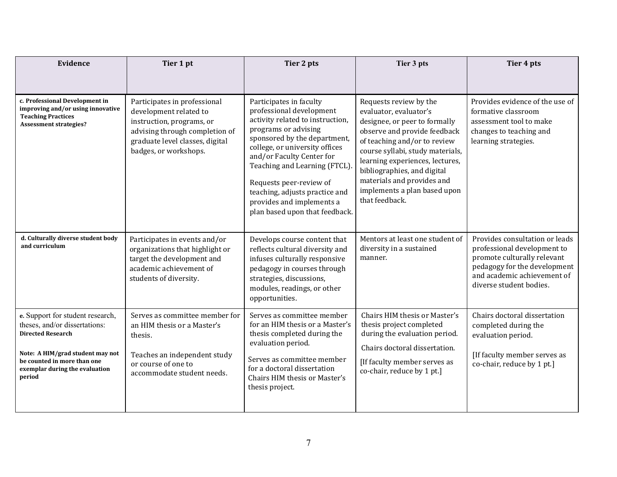| Evidence                                                                                                                                                                                                     | Tier 1 pt                                                                                                                                                                         | Tier 2 pts                                                                                                                                                                                                                                                                                                                                                                  | Tier 3 pts                                                                                                                                                                                                                                                                                                                              | Tier 4 pts                                                                                                                                                                             |
|--------------------------------------------------------------------------------------------------------------------------------------------------------------------------------------------------------------|-----------------------------------------------------------------------------------------------------------------------------------------------------------------------------------|-----------------------------------------------------------------------------------------------------------------------------------------------------------------------------------------------------------------------------------------------------------------------------------------------------------------------------------------------------------------------------|-----------------------------------------------------------------------------------------------------------------------------------------------------------------------------------------------------------------------------------------------------------------------------------------------------------------------------------------|----------------------------------------------------------------------------------------------------------------------------------------------------------------------------------------|
| c. Professional Development in<br>improving and/or using innovative<br><b>Teaching Practices</b><br><b>Assessment strategies?</b>                                                                            | Participates in professional<br>development related to<br>instruction, programs, or<br>advising through completion of<br>graduate level classes, digital<br>badges, or workshops. | Participates in faculty<br>professional development<br>activity related to instruction,<br>programs or advising<br>sponsored by the department,<br>college, or university offices<br>and/or Faculty Center for<br>Teaching and Learning (FTCL).<br>Requests peer-review of<br>teaching, adjusts practice and<br>provides and implements a<br>plan based upon that feedback. | Requests review by the<br>evaluator, evaluator's<br>designee, or peer to formally<br>observe and provide feedback<br>of teaching and/or to review<br>course syllabi, study materials,<br>learning experiences, lectures,<br>bibliographies, and digital<br>materials and provides and<br>implements a plan based upon<br>that feedback. | Provides evidence of the use of<br>formative classroom<br>assessment tool to make<br>changes to teaching and<br>learning strategies.                                                   |
| d. Culturally diverse student body<br>and curriculum                                                                                                                                                         | Participates in events and/or<br>organizations that highlight or<br>target the development and<br>academic achievement of<br>students of diversity.                               | Develops course content that<br>reflects cultural diversity and<br>infuses culturally responsive<br>pedagogy in courses through<br>strategies, discussions,<br>modules, readings, or other<br>opportunities.                                                                                                                                                                | Mentors at least one student of<br>diversity in a sustained<br>manner.                                                                                                                                                                                                                                                                  | Provides consultation or leads<br>professional development to<br>promote culturally relevant<br>pedagogy for the development<br>and academic achievement of<br>diverse student bodies. |
| e. Support for student research,<br>theses, and/or dissertations:<br><b>Directed Research</b><br>Note: A HIM/grad student may not<br>be counted in more than one<br>exemplar during the evaluation<br>period | Serves as committee member for<br>an HIM thesis or a Master's<br>thesis.<br>Teaches an independent study<br>or course of one to<br>accommodate student needs.                     | Serves as committee member<br>for an HIM thesis or a Master's<br>thesis completed during the<br>evaluation period.<br>Serves as committee member<br>for a doctoral dissertation<br>Chairs HIM thesis or Master's<br>thesis project.                                                                                                                                         | Chairs HIM thesis or Master's<br>thesis project completed<br>during the evaluation period.<br>Chairs doctoral dissertation.<br>[If faculty member serves as<br>co-chair, reduce by 1 pt.]                                                                                                                                               | Chairs doctoral dissertation<br>completed during the<br>evaluation period.<br>[If faculty member serves as<br>co-chair, reduce by 1 pt.]                                               |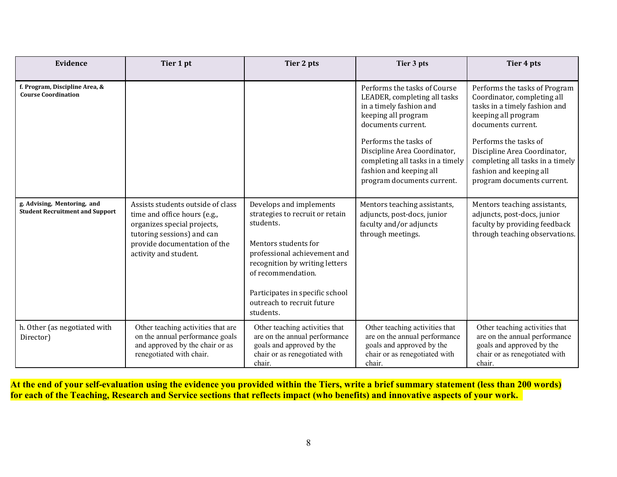| Evidence                                                              | Tier 1 pt                                                                                                                                                                               | Tier 2 pts                                                                                                                                                                                                                                                            | Tier 3 pts                                                                                                                                         | Tier 4 pts                                                                                                                                         |
|-----------------------------------------------------------------------|-----------------------------------------------------------------------------------------------------------------------------------------------------------------------------------------|-----------------------------------------------------------------------------------------------------------------------------------------------------------------------------------------------------------------------------------------------------------------------|----------------------------------------------------------------------------------------------------------------------------------------------------|----------------------------------------------------------------------------------------------------------------------------------------------------|
| f. Program, Discipline Area, &<br><b>Course Coordination</b>          |                                                                                                                                                                                         |                                                                                                                                                                                                                                                                       | Performs the tasks of Course<br>LEADER, completing all tasks<br>in a timely fashion and<br>keeping all program<br>documents current.               | Performs the tasks of Program<br>Coordinator, completing all<br>tasks in a timely fashion and<br>keeping all program<br>documents current.         |
|                                                                       |                                                                                                                                                                                         |                                                                                                                                                                                                                                                                       | Performs the tasks of<br>Discipline Area Coordinator,<br>completing all tasks in a timely<br>fashion and keeping all<br>program documents current. | Performs the tasks of<br>Discipline Area Coordinator,<br>completing all tasks in a timely<br>fashion and keeping all<br>program documents current. |
| g. Advising, Mentoring, and<br><b>Student Recruitment and Support</b> | Assists students outside of class<br>time and office hours (e.g.,<br>organizes special projects,<br>tutoring sessions) and can<br>provide documentation of the<br>activity and student. | Develops and implements<br>strategies to recruit or retain<br>students.<br>Mentors students for<br>professional achievement and<br>recognition by writing letters<br>of recommendation.<br>Participates in specific school<br>outreach to recruit future<br>students. | Mentors teaching assistants,<br>adjuncts, post-docs, junior<br>faculty and/or adjuncts<br>through meetings.                                        | Mentors teaching assistants,<br>adjuncts, post-docs, junior<br>faculty by providing feedback<br>through teaching observations.                     |
| h. Other (as negotiated with<br>Director)                             | Other teaching activities that are<br>on the annual performance goals<br>and approved by the chair or as<br>renegotiated with chair.                                                    | Other teaching activities that<br>are on the annual performance<br>goals and approved by the<br>chair or as renegotiated with<br>chair.                                                                                                                               | Other teaching activities that<br>are on the annual performance<br>goals and approved by the<br>chair or as renegotiated with<br>chair.            | Other teaching activities that<br>are on the annual performance<br>goals and approved by the<br>chair or as renegotiated with<br>chair.            |

**At the end of your self-evaluation using the evidence you provided within the Tiers, write a brief summary statement (less than 200 words) for each of the Teaching, Research and Service sections that reflects impact (who benefits) and innovative aspects of your work.**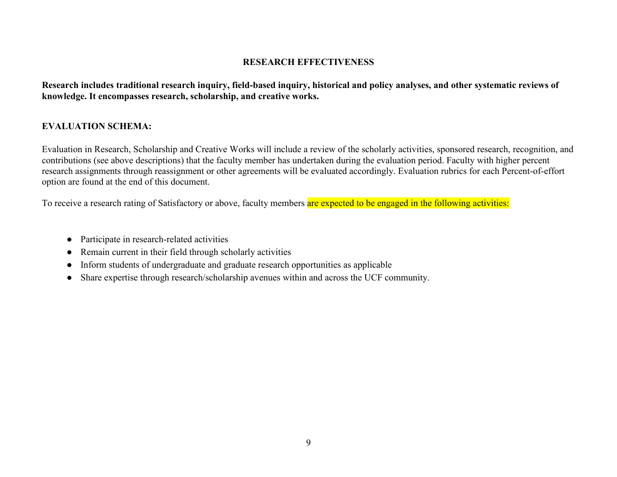### **RESEARCH EFFECTIVENESS**

**Research includes traditional research inquiry, field-based inquiry, historical and policy analyses, and other systematic reviews of knowledge. It encompasses research, scholarship, and creative works.** 

# **EVALUATION SCHEMA:**

Evaluation in Research, Scholarship and Creative Works will include a review of the scholarly activities, sponsored research, recognition, and contributions (see above descriptions) that the faculty member has undertaken during the evaluation period. Faculty with higher percent research assignments through reassignment or other agreements will be evaluated accordingly. Evaluation rubrics for each Percent-of-effort option are found at the end of this document.

To receive a research rating of Satisfactory or above, faculty members are expected to be engaged in the following activities:

- Participate in research-related activities
- Remain current in their field through scholarly activities
- Inform students of undergraduate and graduate research opportunities as applicable
- Share expertise through research/scholarship avenues within and across the UCF community.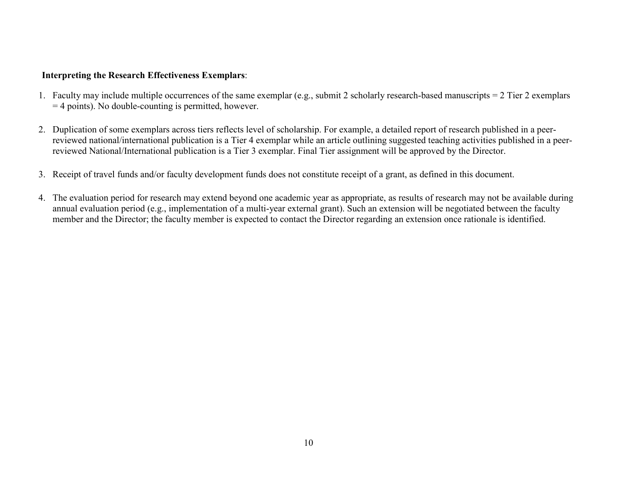### **Interpreting the Research Effectiveness Exemplars**:

- 1. Faculty may include multiple occurrences of the same exemplar (e.g., submit 2 scholarly research-based manuscripts = 2 Tier 2 exemplars = 4 points). No double-counting is permitted, however.
- 2. Duplication of some exemplars across tiers reflects level of scholarship. For example, a detailed report of research published in a peerreviewed national/international publication is a Tier 4 exemplar while an article outlining suggested teaching activities published in a peerreviewed National/International publication is a Tier 3 exemplar. Final Tier assignment will be approved by the Director.
- 3. Receipt of travel funds and/or faculty development funds does not constitute receipt of a grant, as defined in this document.
- 4. The evaluation period for research may extend beyond one academic year as appropriate, as results of research may not be available during annual evaluation period (e.g., implementation of a multi-year external grant). Such an extension will be negotiated between the faculty member and the Director; the faculty member is expected to contact the Director regarding an extension once rationale is identified.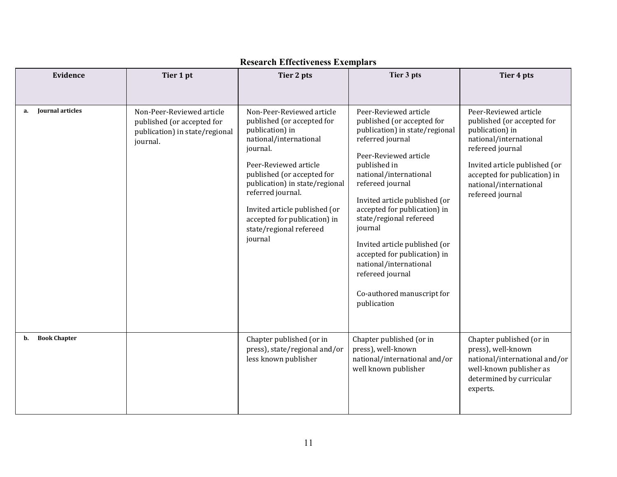| Evidence                      | Tier 1 pt                                                                                             | Tier 2 pts                                                                                                                                                                                                                                                                                                                            | Tier 3 pts                                                                                                                                                                                                                                                                                                                                                                                                                                                          | Tier 4 pts                                                                                                                                                                                                                          |
|-------------------------------|-------------------------------------------------------------------------------------------------------|---------------------------------------------------------------------------------------------------------------------------------------------------------------------------------------------------------------------------------------------------------------------------------------------------------------------------------------|---------------------------------------------------------------------------------------------------------------------------------------------------------------------------------------------------------------------------------------------------------------------------------------------------------------------------------------------------------------------------------------------------------------------------------------------------------------------|-------------------------------------------------------------------------------------------------------------------------------------------------------------------------------------------------------------------------------------|
| <b>Journal articles</b><br>a. | Non-Peer-Reviewed article<br>published (or accepted for<br>publication) in state/regional<br>journal. | Non-Peer-Reviewed article<br>published (or accepted for<br>publication) in<br>national/international<br>journal.<br>Peer-Reviewed article<br>published (or accepted for<br>publication) in state/regional<br>referred journal.<br>Invited article published (or<br>accepted for publication) in<br>state/regional refereed<br>journal | Peer-Reviewed article<br>published (or accepted for<br>publication) in state/regional<br>referred journal<br>Peer-Reviewed article<br>published in<br>national/international<br>refereed journal<br>Invited article published (or<br>accepted for publication) in<br>state/regional refereed<br>journal<br>Invited article published (or<br>accepted for publication) in<br>national/international<br>refereed journal<br>Co-authored manuscript for<br>publication | Peer-Reviewed article<br>published (or accepted for<br>publication) in<br>national/international<br>refereed journal<br>Invited article published (or<br>accepted for publication) in<br>national/international<br>refereed journal |
| <b>Book Chapter</b><br>b.     |                                                                                                       | Chapter published (or in<br>press), state/regional and/or<br>less known publisher                                                                                                                                                                                                                                                     | Chapter published (or in<br>press), well-known<br>national/international and/or<br>well known publisher                                                                                                                                                                                                                                                                                                                                                             | Chapter published (or in<br>press), well-known<br>national/international and/or<br>well-known publisher as<br>determined by curricular<br>experts.                                                                                  |

# **Research Effectiveness Exemplars**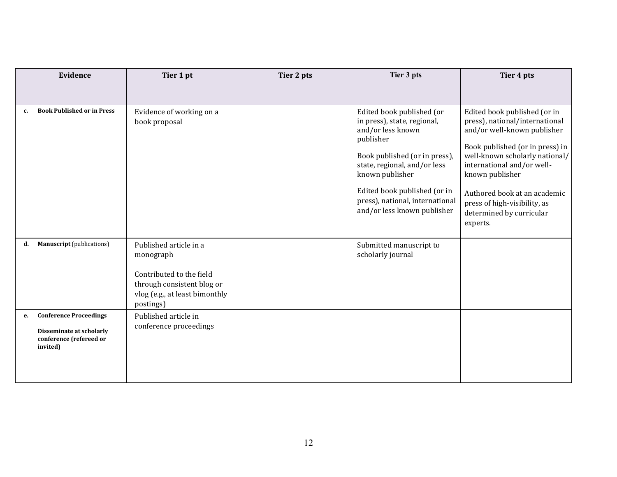|    | Evidence                                                                                         | Tier 1 pt                                                                                                                                    | Tier 2 pts | Tier 3 pts                                                                                                                                                                                                                                                                       | Tier 4 pts                                                                                                                                                                                                                                                                                                                  |
|----|--------------------------------------------------------------------------------------------------|----------------------------------------------------------------------------------------------------------------------------------------------|------------|----------------------------------------------------------------------------------------------------------------------------------------------------------------------------------------------------------------------------------------------------------------------------------|-----------------------------------------------------------------------------------------------------------------------------------------------------------------------------------------------------------------------------------------------------------------------------------------------------------------------------|
|    |                                                                                                  |                                                                                                                                              |            |                                                                                                                                                                                                                                                                                  |                                                                                                                                                                                                                                                                                                                             |
| c. | <b>Book Published or in Press</b>                                                                | Evidence of working on a<br>book proposal                                                                                                    |            | Edited book published (or<br>in press), state, regional,<br>and/or less known<br>publisher<br>Book published (or in press),<br>state, regional, and/or less<br>known publisher<br>Edited book published (or in<br>press), national, international<br>and/or less known publisher | Edited book published (or in<br>press), national/international<br>and/or well-known publisher<br>Book published (or in press) in<br>well-known scholarly national/<br>international and/or well-<br>known publisher<br>Authored book at an academic<br>press of high-visibility, as<br>determined by curricular<br>experts. |
| d. | <b>Manuscript</b> (publications)                                                                 | Published article in a<br>monograph<br>Contributed to the field<br>through consistent blog or<br>vlog (e.g., at least bimonthly<br>postings) |            | Submitted manuscript to<br>scholarly journal                                                                                                                                                                                                                                     |                                                                                                                                                                                                                                                                                                                             |
| е. | <b>Conference Proceedings</b><br>Disseminate at scholarly<br>conference (refereed or<br>invited) | Published article in<br>conference proceedings                                                                                               |            |                                                                                                                                                                                                                                                                                  |                                                                                                                                                                                                                                                                                                                             |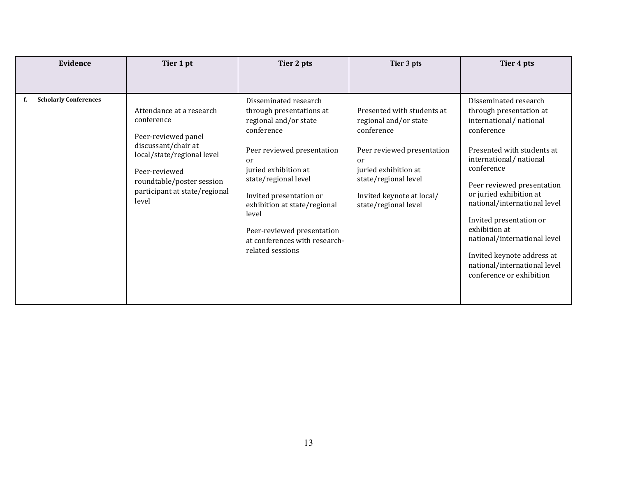| Evidence                     | Tier 1 pt                                                                                                                                                                                                  | Tier 2 pts                                                                                                                                                                                                                                                                                                                          | Tier 3 pts                                                                                                                                                                                                 | Tier 4 pts                                                                                                                                                                                                                                                                                                                                                                                                                    |
|------------------------------|------------------------------------------------------------------------------------------------------------------------------------------------------------------------------------------------------------|-------------------------------------------------------------------------------------------------------------------------------------------------------------------------------------------------------------------------------------------------------------------------------------------------------------------------------------|------------------------------------------------------------------------------------------------------------------------------------------------------------------------------------------------------------|-------------------------------------------------------------------------------------------------------------------------------------------------------------------------------------------------------------------------------------------------------------------------------------------------------------------------------------------------------------------------------------------------------------------------------|
|                              |                                                                                                                                                                                                            |                                                                                                                                                                                                                                                                                                                                     |                                                                                                                                                                                                            |                                                                                                                                                                                                                                                                                                                                                                                                                               |
| <b>Scholarly Conferences</b> | Attendance at a research<br>conference<br>Peer-reviewed panel<br>discussant/chair at<br>local/state/regional level<br>Peer-reviewed<br>roundtable/poster session<br>participant at state/regional<br>level | Disseminated research<br>through presentations at<br>regional and/or state<br>conference<br>Peer reviewed presentation<br>or<br>juried exhibition at<br>state/regional level<br>Invited presentation or<br>exhibition at state/regional<br>level<br>Peer-reviewed presentation<br>at conferences with research-<br>related sessions | Presented with students at<br>regional and/or state<br>conference<br>Peer reviewed presentation<br>or<br>juried exhibition at<br>state/regional level<br>Invited keynote at local/<br>state/regional level | Disseminated research<br>through presentation at<br>international/national<br>conference<br>Presented with students at<br>international/national<br>conference<br>Peer reviewed presentation<br>or juried exhibition at<br>national/international level<br>Invited presentation or<br>exhibition at<br>national/international level<br>Invited keynote address at<br>national/international level<br>conference or exhibition |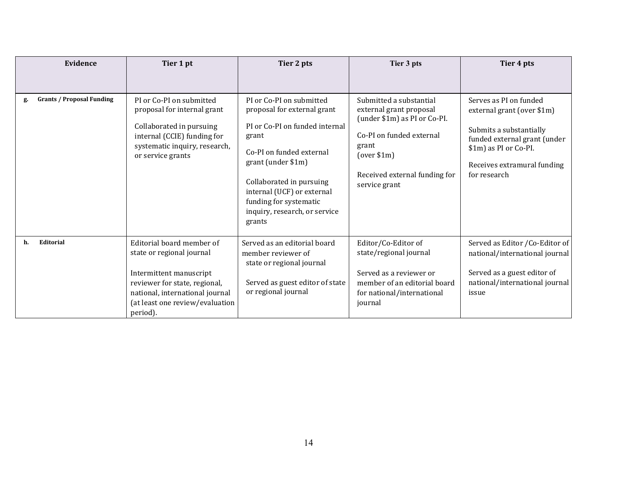| Evidence                               | Tier 1 pt                                                                                                                                                                                            | Tier 2 pts                                                                                                                                                                                                                                                                          | Tier 3 pts                                                                                                                                                                               | Tier 4 pts                                                                                                                                                                              |
|----------------------------------------|------------------------------------------------------------------------------------------------------------------------------------------------------------------------------------------------------|-------------------------------------------------------------------------------------------------------------------------------------------------------------------------------------------------------------------------------------------------------------------------------------|------------------------------------------------------------------------------------------------------------------------------------------------------------------------------------------|-----------------------------------------------------------------------------------------------------------------------------------------------------------------------------------------|
|                                        |                                                                                                                                                                                                      |                                                                                                                                                                                                                                                                                     |                                                                                                                                                                                          |                                                                                                                                                                                         |
| <b>Grants / Proposal Funding</b><br>g. | PI or Co-PI on submitted<br>proposal for internal grant<br>Collaborated in pursuing<br>internal (CCIE) funding for<br>systematic inquiry, research,<br>or service grants                             | PI or Co-PI on submitted<br>proposal for external grant<br>PI or Co-PI on funded internal<br>grant<br>Co-PI on funded external<br>grant (under \$1m)<br>Collaborated in pursuing<br>internal (UCF) or external<br>funding for systematic<br>inquiry, research, or service<br>grants | Submitted a substantial<br>external grant proposal<br>(under \$1m) as PI or Co-PI.<br>Co-PI on funded external<br>grant<br>(over \$1m)<br>Received external funding for<br>service grant | Serves as PI on funded<br>external grant (over \$1m)<br>Submits a substantially<br>funded external grant (under<br>\$1m) as PI or Co-PI.<br>Receives extramural funding<br>for research |
| Editorial<br>h.                        | Editorial board member of<br>state or regional journal<br>Intermittent manuscript<br>reviewer for state, regional,<br>national, international journal<br>(at least one review/evaluation<br>period). | Served as an editorial board<br>member reviewer of<br>state or regional journal<br>Served as guest editor of state<br>or regional journal                                                                                                                                           | Editor/Co-Editor of<br>state/regional journal<br>Served as a reviewer or<br>member of an editorial board<br>for national/international<br>journal                                        | Served as Editor / Co-Editor of<br>national/international journal<br>Served as a guest editor of<br>national/international journal<br>issue                                             |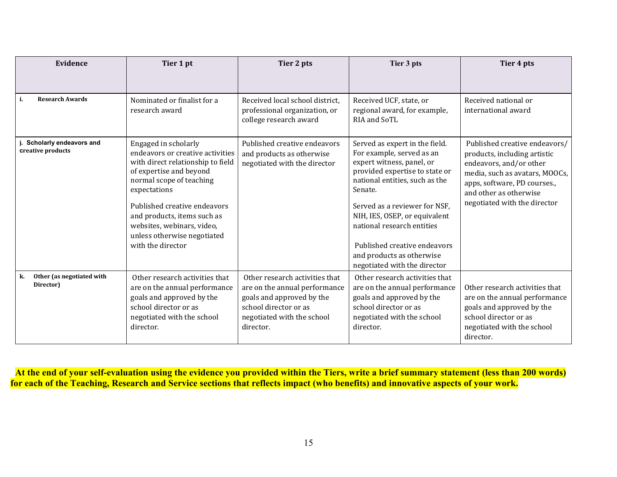| Evidence                                     | Tier 1 pt                                                                                                                                                                                                                                                                                                             | Tier 2 pts                                                                                                                                                       | Tier 3 pts                                                                                                                                                                                                                                                                                                                                                           | Tier 4 pts                                                                                                                                                                                                           |
|----------------------------------------------|-----------------------------------------------------------------------------------------------------------------------------------------------------------------------------------------------------------------------------------------------------------------------------------------------------------------------|------------------------------------------------------------------------------------------------------------------------------------------------------------------|----------------------------------------------------------------------------------------------------------------------------------------------------------------------------------------------------------------------------------------------------------------------------------------------------------------------------------------------------------------------|----------------------------------------------------------------------------------------------------------------------------------------------------------------------------------------------------------------------|
|                                              |                                                                                                                                                                                                                                                                                                                       |                                                                                                                                                                  |                                                                                                                                                                                                                                                                                                                                                                      |                                                                                                                                                                                                                      |
| <b>Research Awards</b><br>i.                 | Nominated or finalist for a<br>research award                                                                                                                                                                                                                                                                         | Received local school district,<br>professional organization, or<br>college research award                                                                       | Received UCF, state, or<br>regional award, for example,<br>RIA and SoTL                                                                                                                                                                                                                                                                                              | Received national or<br>international award                                                                                                                                                                          |
| Scholarly endeavors and<br>creative products | Engaged in scholarly<br>endeavors or creative activities<br>with direct relationship to field<br>of expertise and beyond<br>normal scope of teaching<br>expectations<br>Published creative endeavors<br>and products, items such as<br>websites, webinars, video,<br>unless otherwise negotiated<br>with the director | Published creative endeavors<br>and products as otherwise<br>negotiated with the director                                                                        | Served as expert in the field.<br>For example, served as an<br>expert witness, panel, or<br>provided expertise to state or<br>national entities, such as the<br>Senate.<br>Served as a reviewer for NSF,<br>NIH, IES, OSEP, or equivalent<br>national research entities<br>Published creative endeavors<br>and products as otherwise<br>negotiated with the director | Published creative endeavors/<br>products, including artistic<br>endeavors, and/or other<br>media, such as avatars, MOOCs,<br>apps, software, PD courses.,<br>and other as otherwise<br>negotiated with the director |
| Other (as negotiated with<br>k.<br>Director) | Other research activities that<br>are on the annual performance<br>goals and approved by the<br>school director or as<br>negotiated with the school<br>director.                                                                                                                                                      | Other research activities that<br>are on the annual performance<br>goals and approved by the<br>school director or as<br>negotiated with the school<br>director. | Other research activities that<br>are on the annual performance<br>goals and approved by the<br>school director or as<br>negotiated with the school<br>director.                                                                                                                                                                                                     | Other research activities that<br>are on the annual performance<br>goals and approved by the<br>school director or as<br>negotiated with the school<br>director.                                                     |

**At the end of your self-evaluation using the evidence you provided within the Tiers, write a brief summary statement (less than 200 words) for each of the Teaching, Research and Service sections that reflects impact (who benefits) and innovative aspects of your work.**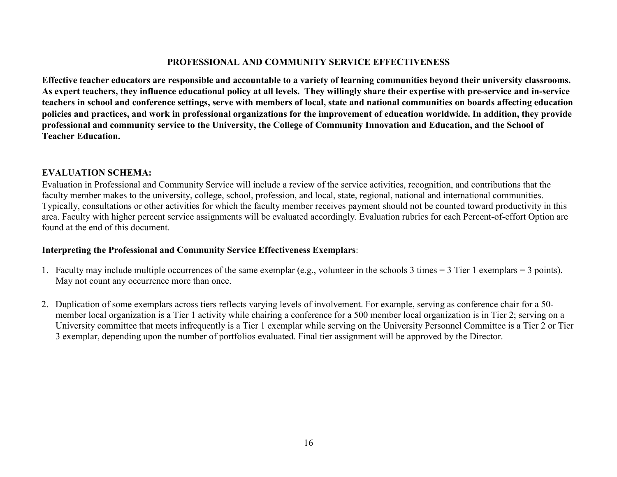### **PROFESSIONAL AND COMMUNITY SERVICE EFFECTIVENESS**

**Effective teacher educators are responsible and accountable to a variety of learning communities beyond their university classrooms. As expert teachers, they influence educational policy at all levels. They willingly share their expertise with pre-service and in-service teachers in school and conference settings, serve with members of local, state and national communities on boards affecting education policies and practices, and work in professional organizations for the improvement of education worldwide. In addition, they provide professional and community service to the University, the College of Community Innovation and Education, and the School of Teacher Education.**

### **EVALUATION SCHEMA:**

Evaluation in Professional and Community Service will include a review of the service activities, recognition, and contributions that the faculty member makes to the university, college, school, profession, and local, state, regional, national and international communities. Typically, consultations or other activities for which the faculty member receives payment should not be counted toward productivity in this area. Faculty with higher percent service assignments will be evaluated accordingly. Evaluation rubrics for each Percent-of-effort Option are found at the end of this document.

# **Interpreting the Professional and Community Service Effectiveness Exemplars**:

- 1. Faculty may include multiple occurrences of the same exemplar (e.g., volunteer in the schools 3 times = 3 Tier 1 exemplars = 3 points). May not count any occurrence more than once.
- 2. Duplication of some exemplars across tiers reflects varying levels of involvement. For example, serving as conference chair for a 50 member local organization is a Tier 1 activity while chairing a conference for a 500 member local organization is in Tier 2; serving on a University committee that meets infrequently is a Tier 1 exemplar while serving on the University Personnel Committee is a Tier 2 or Tier 3 exemplar, depending upon the number of portfolios evaluated. Final tier assignment will be approved by the Director.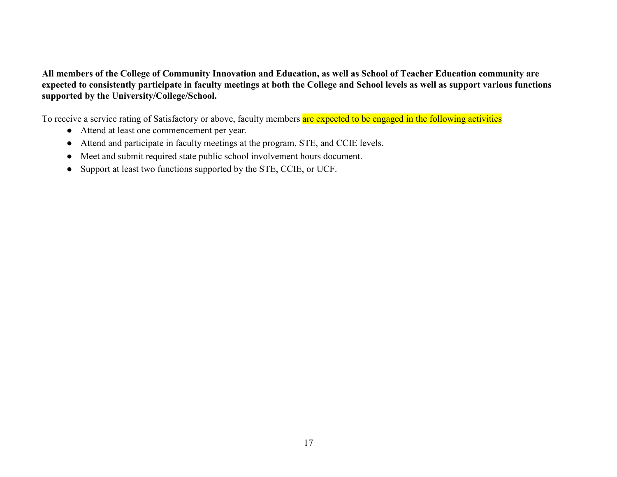**All members of the College of Community Innovation and Education, as well as School of Teacher Education community are expected to consistently participate in faculty meetings at both the College and School levels as well as support various functions supported by the University/College/School.** 

To receive a service rating of Satisfactory or above, faculty members are expected to be engaged in the following activities

- Attend at least one commencement per year.
- Attend and participate in faculty meetings at the program, STE, and CCIE levels.
- Meet and submit required state public school involvement hours document.
- Support at least two functions supported by the STE, CCIE, or UCF.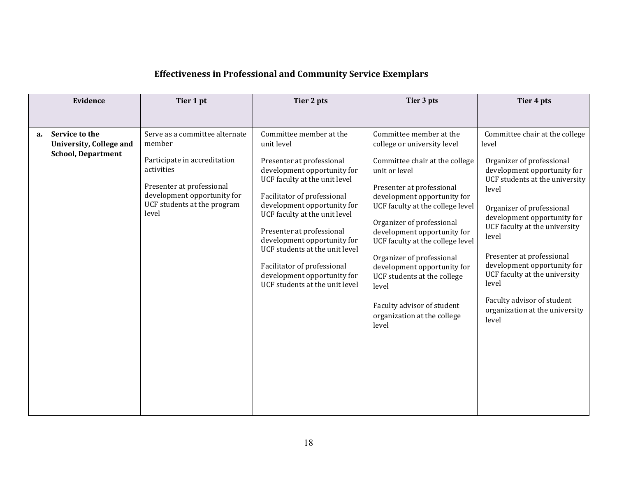# **Effectiveness in Professional and Community Service Exemplars**

| Evidence                                                                     | Tier 1 pt                                                                                                                                                                                  | Tier 2 pts                                                                                                                                                                                                                                                                                                                                                                                                                      | Tier 3 pts                                                                                                                                                                                                                                                                                                                                                                                                                                                                          | Tier 4 pts                                                                                                                                                                                                                                                                                                                                                                                                                          |
|------------------------------------------------------------------------------|--------------------------------------------------------------------------------------------------------------------------------------------------------------------------------------------|---------------------------------------------------------------------------------------------------------------------------------------------------------------------------------------------------------------------------------------------------------------------------------------------------------------------------------------------------------------------------------------------------------------------------------|-------------------------------------------------------------------------------------------------------------------------------------------------------------------------------------------------------------------------------------------------------------------------------------------------------------------------------------------------------------------------------------------------------------------------------------------------------------------------------------|-------------------------------------------------------------------------------------------------------------------------------------------------------------------------------------------------------------------------------------------------------------------------------------------------------------------------------------------------------------------------------------------------------------------------------------|
|                                                                              |                                                                                                                                                                                            |                                                                                                                                                                                                                                                                                                                                                                                                                                 |                                                                                                                                                                                                                                                                                                                                                                                                                                                                                     |                                                                                                                                                                                                                                                                                                                                                                                                                                     |
| Service to the<br>a.<br>University, College and<br><b>School, Department</b> | Serve as a committee alternate<br>member<br>Participate in accreditation<br>activities<br>Presenter at professional<br>development opportunity for<br>UCF students at the program<br>level | Committee member at the<br>unit level<br>Presenter at professional<br>development opportunity for<br>UCF faculty at the unit level<br>Facilitator of professional<br>development opportunity for<br>UCF faculty at the unit level<br>Presenter at professional<br>development opportunity for<br>UCF students at the unit level<br>Facilitator of professional<br>development opportunity for<br>UCF students at the unit level | Committee member at the<br>college or university level<br>Committee chair at the college<br>unit or level<br>Presenter at professional<br>development opportunity for<br>UCF faculty at the college level<br>Organizer of professional<br>development opportunity for<br>UCF faculty at the college level<br>Organizer of professional<br>development opportunity for<br>UCF students at the college<br>level<br>Faculty advisor of student<br>organization at the college<br>level | Committee chair at the college<br>level<br>Organizer of professional<br>development opportunity for<br>UCF students at the university<br>level<br>Organizer of professional<br>development opportunity for<br>UCF faculty at the university<br>level<br>Presenter at professional<br>development opportunity for<br>UCF faculty at the university<br>level<br>Faculty advisor of student<br>organization at the university<br>level |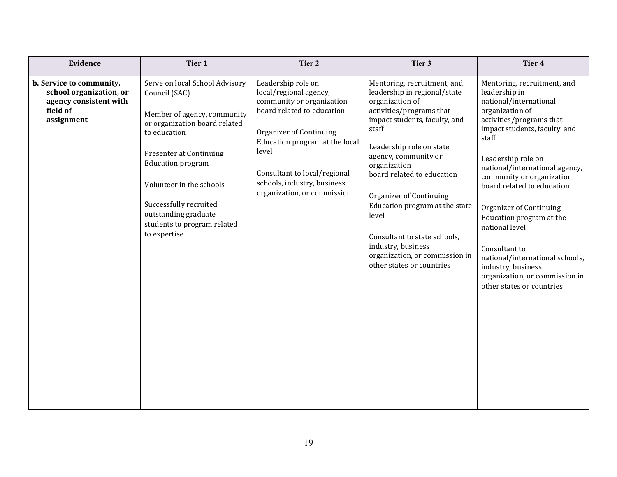| Evidence                                                                                                | Tier 1                                                                                                                                                                                                                                                                                                              | Tier 2                                                                                                                                                                                                                                                                             | Tier 3                                                                                                                                                                                                                                                                                                                                                                                                                                                   | Tier 4                                                                                                                                                                                                                                                                                                                                                                                                                                                                                               |
|---------------------------------------------------------------------------------------------------------|---------------------------------------------------------------------------------------------------------------------------------------------------------------------------------------------------------------------------------------------------------------------------------------------------------------------|------------------------------------------------------------------------------------------------------------------------------------------------------------------------------------------------------------------------------------------------------------------------------------|----------------------------------------------------------------------------------------------------------------------------------------------------------------------------------------------------------------------------------------------------------------------------------------------------------------------------------------------------------------------------------------------------------------------------------------------------------|------------------------------------------------------------------------------------------------------------------------------------------------------------------------------------------------------------------------------------------------------------------------------------------------------------------------------------------------------------------------------------------------------------------------------------------------------------------------------------------------------|
| b. Service to community,<br>school organization, or<br>agency consistent with<br>field of<br>assignment | Serve on local School Advisory<br>Council (SAC)<br>Member of agency, community<br>or organization board related<br>to education<br>Presenter at Continuing<br><b>Education program</b><br>Volunteer in the schools<br>Successfully recruited<br>outstanding graduate<br>students to program related<br>to expertise | Leadership role on<br>local/regional agency,<br>community or organization<br>board related to education<br><b>Organizer of Continuing</b><br>Education program at the local<br>level<br>Consultant to local/regional<br>schools, industry, business<br>organization, or commission | Mentoring, recruitment, and<br>leadership in regional/state<br>organization of<br>activities/programs that<br>impact students, faculty, and<br>staff<br>Leadership role on state<br>agency, community or<br>organization<br>board related to education<br><b>Organizer of Continuing</b><br>Education program at the state<br>level<br>Consultant to state schools,<br>industry, business<br>organization, or commission in<br>other states or countries | Mentoring, recruitment, and<br>leadership in<br>national/international<br>organization of<br>activities/programs that<br>impact students, faculty, and<br>staff<br>Leadership role on<br>national/international agency,<br>community or organization<br>board related to education<br>Organizer of Continuing<br>Education program at the<br>national level<br>Consultant to<br>national/international schools,<br>industry, business<br>organization, or commission in<br>other states or countries |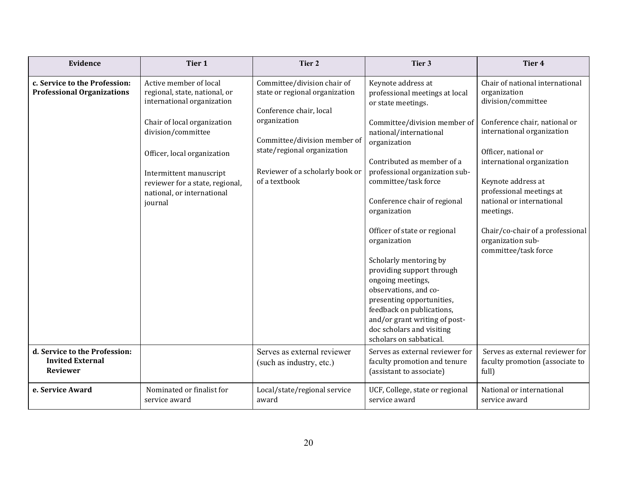| Evidence                                                                    | Tier 1                                                                                                                                                                                                                                                                           | Tier 2                                                                                                                                                                                                                      | Tier 3                                                                                                                                                                                                                                                                                                                                                                                                                                                                                                                                                                                               | Tier 4                                                                                                                                                                                                                                                                                                                                                                  |
|-----------------------------------------------------------------------------|----------------------------------------------------------------------------------------------------------------------------------------------------------------------------------------------------------------------------------------------------------------------------------|-----------------------------------------------------------------------------------------------------------------------------------------------------------------------------------------------------------------------------|------------------------------------------------------------------------------------------------------------------------------------------------------------------------------------------------------------------------------------------------------------------------------------------------------------------------------------------------------------------------------------------------------------------------------------------------------------------------------------------------------------------------------------------------------------------------------------------------------|-------------------------------------------------------------------------------------------------------------------------------------------------------------------------------------------------------------------------------------------------------------------------------------------------------------------------------------------------------------------------|
| c. Service to the Profession:<br><b>Professional Organizations</b>          | Active member of local<br>regional, state, national, or<br>international organization<br>Chair of local organization<br>division/committee<br>Officer, local organization<br>Intermittent manuscript<br>reviewer for a state, regional,<br>national, or international<br>journal | Committee/division chair of<br>state or regional organization<br>Conference chair, local<br>organization<br>Committee/division member of<br>state/regional organization<br>Reviewer of a scholarly book or<br>of a textbook | Keynote address at<br>professional meetings at local<br>or state meetings.<br>Committee/division member of<br>national/international<br>organization<br>Contributed as member of a<br>professional organization sub-<br>committee/task force<br>Conference chair of regional<br>organization<br>Officer of state or regional<br>organization<br>Scholarly mentoring by<br>providing support through<br>ongoing meetings,<br>observations, and co-<br>presenting opportunities,<br>feedback on publications,<br>and/or grant writing of post-<br>doc scholars and visiting<br>scholars on sabbatical. | Chair of national international<br>organization<br>division/committee<br>Conference chair, national or<br>international organization<br>Officer, national or<br>international organization<br>Keynote address at<br>professional meetings at<br>national or international<br>meetings.<br>Chair/co-chair of a professional<br>organization sub-<br>committee/task force |
| d. Service to the Profession:<br><b>Invited External</b><br><b>Reviewer</b> |                                                                                                                                                                                                                                                                                  | Serves as external reviewer<br>(such as industry, etc.)                                                                                                                                                                     | Serves as external reviewer for<br>faculty promotion and tenure<br>(assistant to associate)                                                                                                                                                                                                                                                                                                                                                                                                                                                                                                          | Serves as external reviewer for<br>faculty promotion (associate to<br>full)                                                                                                                                                                                                                                                                                             |
| e. Service Award                                                            | Nominated or finalist for<br>service award                                                                                                                                                                                                                                       | Local/state/regional service<br>award                                                                                                                                                                                       | UCF, College, state or regional<br>service award                                                                                                                                                                                                                                                                                                                                                                                                                                                                                                                                                     | National or international<br>service award                                                                                                                                                                                                                                                                                                                              |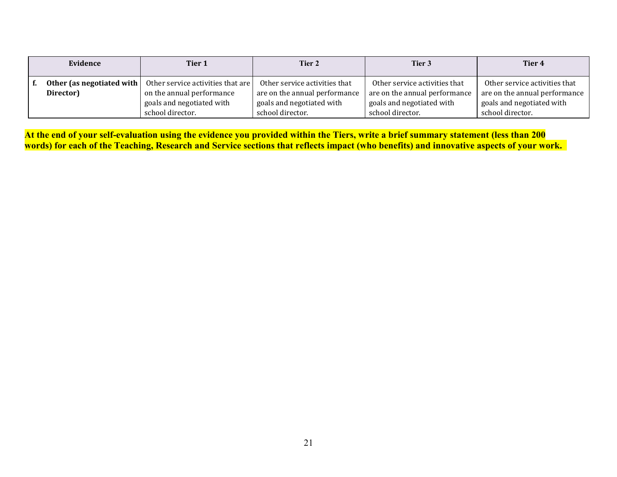| Evidence                                 | Tier 1                                                         | Tier 2                                                         | Tier 3                                                         | Tier 4                                                         |
|------------------------------------------|----------------------------------------------------------------|----------------------------------------------------------------|----------------------------------------------------------------|----------------------------------------------------------------|
| Other (as negotiated with  <br>Director) | Other service activities that are<br>on the annual performance | Other service activities that<br>are on the annual performance | Other service activities that<br>are on the annual performance | Other service activities that<br>are on the annual performance |
|                                          | goals and negotiated with<br>school director.                  | goals and negotiated with<br>school director.                  | goals and negotiated with<br>school director.                  | goals and negotiated with<br>school director.                  |

**At the end of your self-evaluation using the evidence you provided within the Tiers, write a brief summary statement (less than 200 words) for each of the Teaching, Research and Service sections that reflects impact (who benefits) and innovative aspects of your work.**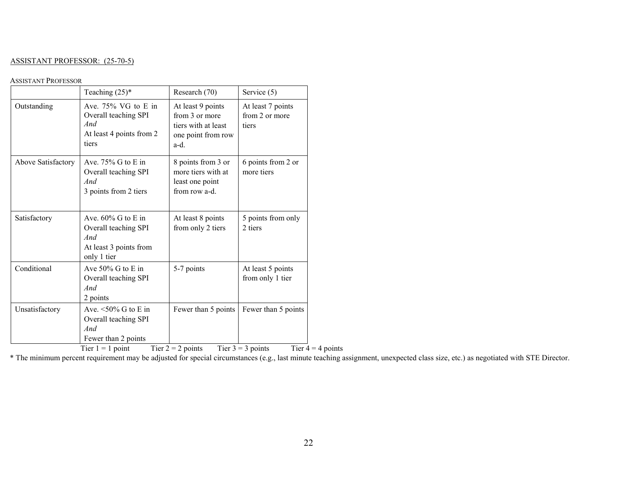#### ASSISTANT PROFESSOR: (25-70-5)

#### ASSISTANT PROFESSOR

|                    | Teaching $(25)^*$                                                                                      | Research (70)                                                                            | Service (5)                                                       |
|--------------------|--------------------------------------------------------------------------------------------------------|------------------------------------------------------------------------------------------|-------------------------------------------------------------------|
| Outstanding        | Ave. 75% VG to E in<br>Overall teaching SPI<br>And<br>At least 4 points from 2<br>tiers                | At least 9 points<br>from 3 or more<br>tiers with at least<br>one point from row<br>a-d. | At least 7 points<br>from 2 or more<br>tiers                      |
| Above Satisfactory | Ave. $75\%$ G to E in<br>Overall teaching SPI<br>And<br>3 points from 2 tiers                          | 8 points from 3 or<br>more tiers with at<br>least one point<br>from row a-d.             | 6 points from 2 or<br>more tiers                                  |
| Satisfactory       | Ave. $60\%$ G to E in<br>Overall teaching SPI<br>And<br>At least 3 points from<br>only 1 tier          | At least 8 points<br>from only 2 tiers                                                   | 5 points from only<br>2 tiers                                     |
| Conditional        | Ave 50% G to E in<br>Overall teaching SPI<br>And<br>2 points                                           | 5-7 points                                                                               | At least 5 points<br>from only 1 tier                             |
| Unsatisfactory     | Ave. $\leq 50\%$ G to E in<br>Overall teaching SPI<br>And<br>Fewer than 2 points<br>Tier $1 = 1$ point | Fewer than 5 points<br>Tier $2 = 2$ points                                               | Fewer than 5 points<br>Tier $3 = 3$ points<br>Tier $4 = 4$ points |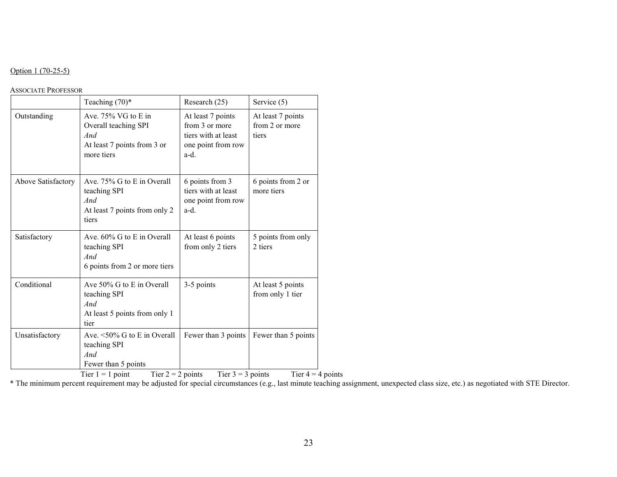#### Option 1 (70-25-5)

#### ASSOCIATE PROFESSOR

|                    | Teaching $(70)$ *                                                                                                             | Research (25)                                                                            | Service (5)                                  |
|--------------------|-------------------------------------------------------------------------------------------------------------------------------|------------------------------------------------------------------------------------------|----------------------------------------------|
| Outstanding        | Ave. $75\%$ VG to E in<br>Overall teaching SPI<br>And<br>At least 7 points from 3 or<br>more tiers                            | At least 7 points<br>from 3 or more<br>tiers with at least<br>one point from row<br>a-d. | At least 7 points<br>from 2 or more<br>tiers |
| Above Satisfactory | Ave. 75% G to E in Overall<br>teaching SPI<br>And<br>At least 7 points from only 2<br>tiers                                   | 6 points from 3<br>tiers with at least<br>one point from row<br>a-d.                     | 6 points from 2 or<br>more tiers             |
| Satisfactory       | Ave. 60% G to E in Overall<br>teaching SPI<br>And<br>6 points from 2 or more tiers                                            | At least 6 points<br>from only 2 tiers                                                   | 5 points from only<br>2 tiers                |
| Conditional        | Ave 50% G to E in Overall<br>teaching SPI<br>And<br>At least 5 points from only 1<br>tier                                     | 3-5 points                                                                               | At least 5 points<br>from only 1 tier        |
| Unsatisfactory     | Ave. $\leq 50\%$ G to E in Overall<br>teaching SPI<br>And<br>Fewer than 5 points<br>Tier $2 = 2$ points<br>Tier $1 = 1$ point | Fewer than 3 points<br>Tier $3 = 3$ points                                               | Fewer than 5 points<br>Tier $4 = 4$ points   |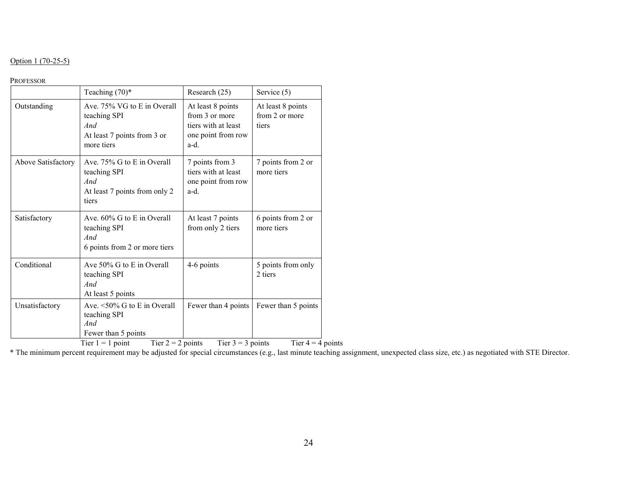#### Option 1 (70-25-5)

#### PROFESSOR

|                    | Teaching $(70)$ *                                                                               | Research (25)                                                                            | Service (5)                                  |
|--------------------|-------------------------------------------------------------------------------------------------|------------------------------------------------------------------------------------------|----------------------------------------------|
| Outstanding        | Ave. 75% VG to E in Overall<br>teaching SPI<br>And<br>At least 7 points from 3 or<br>more tiers | At least 8 points<br>from 3 or more<br>tiers with at least<br>one point from row<br>a-d. | At least 8 points<br>from 2 or more<br>tiers |
| Above Satisfactory | Ave. 75% G to E in Overall<br>teaching SPI<br>And<br>At least 7 points from only 2<br>tiers     | 7 points from 3<br>tiers with at least<br>one point from row<br>a-d.                     | 7 points from 2 or<br>more tiers             |
| Satisfactory       | Ave. 60% G to E in Overall<br>teaching SPI<br>And<br>6 points from 2 or more tiers              | At least 7 points<br>from only 2 tiers                                                   | 6 points from 2 or<br>more tiers             |
| Conditional        | Ave $50\%$ G to E in Overall<br>teaching SPI<br>And<br>At least 5 points                        | 4-6 points                                                                               | 5 points from only<br>2 tiers                |
| Unsatisfactory     | Ave. $\leq 50\%$ G to E in Overall<br>teaching SPI<br>And<br>Fewer than 5 points                | Fewer than 4 points                                                                      | Fewer than 5 points                          |

Tier  $1 = 1$  point Tier  $2 = 2$  points Tier  $3 = 3$  points Tier  $4 = 4$  points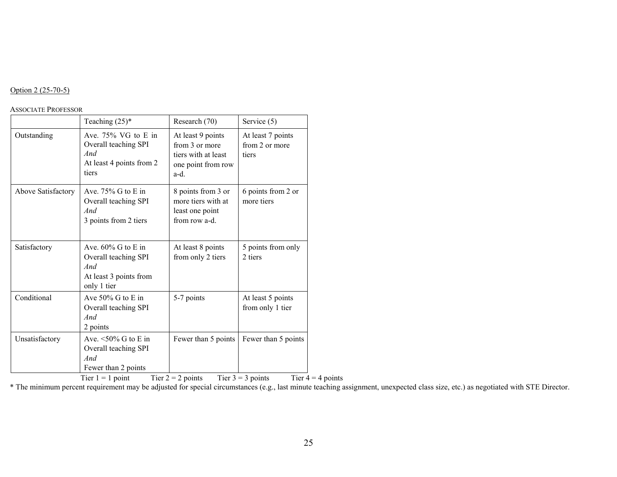#### Option 2 (25-70-5)

#### ASSOCIATE PROFESSOR

|                    | Teaching $(25)^*$                                                                                | Research (70)                                                                            | Service (5)                                  |
|--------------------|--------------------------------------------------------------------------------------------------|------------------------------------------------------------------------------------------|----------------------------------------------|
| Outstanding        | Ave. $75\%$ VG to E in<br>Overall teaching SPI<br>And<br>At least 4 points from 2<br>tiers       | At least 9 points<br>from 3 or more<br>tiers with at least<br>one point from row<br>a-d. | At least 7 points<br>from 2 or more<br>tiers |
| Above Satisfactory | Ave. $75\%$ G to E in<br>Overall teaching SPI<br>And<br>3 points from 2 tiers                    | 8 points from 3 or<br>more tiers with at<br>least one point<br>from row a-d.             | 6 points from 2 or<br>more tiers             |
| Satisfactory       | Ave. $60\%$ G to E in<br>Overall teaching SPI<br>And<br>At least 3 points from<br>only 1 tier    | At least 8 points<br>from only 2 tiers                                                   | 5 points from only<br>2 tiers                |
| Conditional        | Ave $50\%$ G to E in<br>Overall teaching SPI<br>And<br>2 points                                  | 5-7 points                                                                               | At least 5 points<br>from only 1 tier        |
| Unsatisfactory     | Ave. $\leq 50\%$ G to E in<br>Overall teaching SPI<br>And<br>Fewer than 2 points<br>$\mathbf{m}$ | Fewer than 5 points<br>m.<br>$\sim$                                                      | Fewer than 5 points<br>$\sim$<br>m.          |

Tier  $1 = 1$  point Tier  $2 = 2$  points Tier  $3 = 3$  points Tier  $4 = 4$  points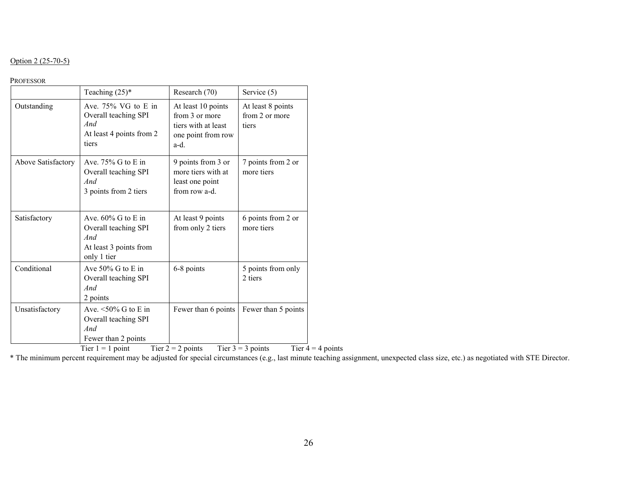### Option 2 (25-70-5)

#### PROFESSOR

|                    | Teaching $(25)^*$                                                                                      | Research (70)                                                                             | Service (5)                                                       |
|--------------------|--------------------------------------------------------------------------------------------------------|-------------------------------------------------------------------------------------------|-------------------------------------------------------------------|
| Outstanding        | Ave. $75\%$ VG to E in<br>Overall teaching SPI<br>And<br>At least 4 points from 2<br>tiers             | At least 10 points<br>from 3 or more<br>tiers with at least<br>one point from row<br>a-d. | At least 8 points<br>from 2 or more<br>tiers                      |
| Above Satisfactory | Ave. $75\%$ G to E in<br>Overall teaching SPI<br>And<br>3 points from 2 tiers                          | 9 points from 3 or<br>more tiers with at<br>least one point<br>from row a-d.              | 7 points from 2 or<br>more tiers                                  |
| Satisfactory       | Ave. $60\%$ G to E in<br>Overall teaching SPI<br>And<br>At least 3 points from<br>only 1 tier          | At least 9 points<br>from only 2 tiers                                                    | 6 points from 2 or<br>more tiers                                  |
| Conditional        | Ave $50\%$ G to E in<br>Overall teaching SPI<br>And<br>2 points                                        | 6-8 points                                                                                | 5 points from only<br>2 tiers                                     |
| Unsatisfactory     | Ave. $\leq 50\%$ G to E in<br>Overall teaching SPI<br>And<br>Fewer than 2 points<br>Tier $1 = 1$ point | Fewer than 6 points<br>Tier $2 = 2$ points                                                | Fewer than 5 points<br>Tier $3 = 3$ points<br>Tier $4 = 4$ points |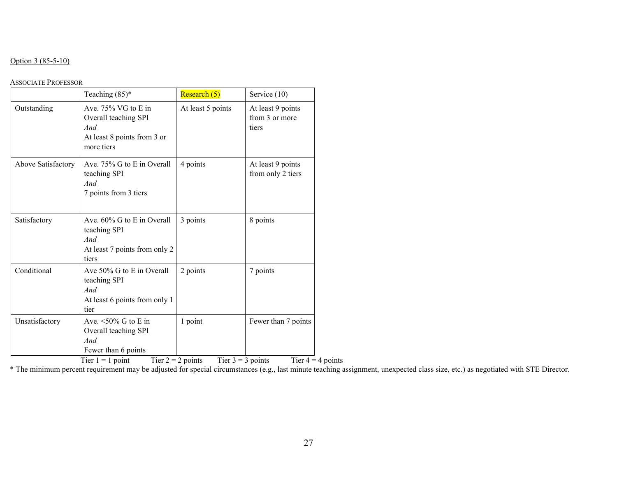#### Option 3 (85-5-10)

#### ASSOCIATE PROFESSOR

|                    | Teaching $(85)^*$                                                                               | Research (5)      | Service (10)                                 |
|--------------------|-------------------------------------------------------------------------------------------------|-------------------|----------------------------------------------|
| Outstanding        | Ave. 75% VG to E in<br>Overall teaching SPI<br>And<br>At least 8 points from 3 or<br>more tiers | At least 5 points | At least 9 points<br>from 3 or more<br>tiers |
| Above Satisfactory | Ave. 75% G to E in Overall<br>teaching SPI<br>And<br>7 points from 3 tiers                      | 4 points          | At least 9 points<br>from only 2 tiers       |
| Satisfactory       | Ave. 60% G to E in Overall<br>teaching SPI<br>And<br>At least 7 points from only 2<br>tiers     | 3 points          | 8 points                                     |
| Conditional        | Ave 50% G to E in Overall<br>teaching SPI<br>And<br>At least 6 points from only 1<br>tier       | 2 points          | 7 points                                     |
| Unsatisfactory     | Ave. $\leq 50\%$ G to E in<br>Overall teaching SPI<br>And<br>Fewer than 6 points                | 1 point           | Fewer than 7 points                          |

Tier 1 = 1 point Tier 2 = 2 points Tier 3 = 3 points Tier  $4 = 4$  points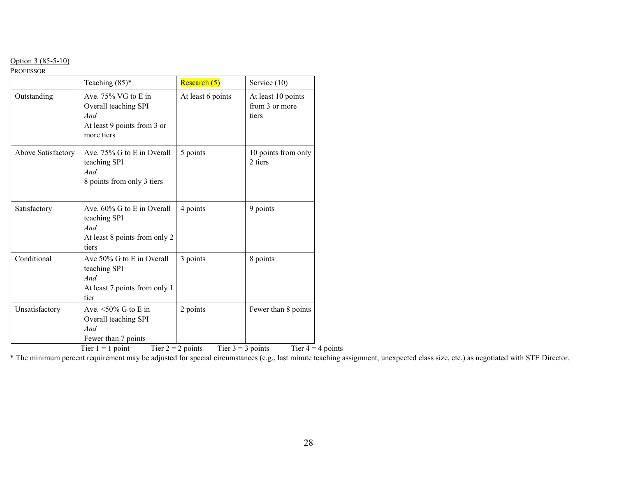# Option 3 (85-5-10)

PROFESSOR

|                    | Teaching $(85)^*$                                                                                      | Research (5)                                           | Service (10)                                  |
|--------------------|--------------------------------------------------------------------------------------------------------|--------------------------------------------------------|-----------------------------------------------|
| Outstanding        | Ave. $75\%$ VG to E in<br>Overall teaching SPI<br>And<br>At least 9 points from 3 or<br>more tiers     | At least 6 points                                      | At least 10 points<br>from 3 or more<br>tiers |
| Above Satisfactory | Ave. 75% G to E in Overall<br>teaching SPI<br>And<br>8 points from only 3 tiers                        | 5 points                                               | 10 points from only<br>2 tiers                |
| Satisfactory       | Ave. 60% G to E in Overall<br>teaching SPI<br>And<br>At least 8 points from only 2<br>tiers            | 4 points                                               | 9 points                                      |
| Conditional        | Ave 50% G to E in Overall<br>teaching SPI<br>And<br>At least 7 points from only 1<br>tier              | 3 points                                               | 8 points                                      |
| Unsatisfactory     | Ave. $\leq 50\%$ G to E in<br>Overall teaching SPI<br>And<br>Fewer than 7 points<br>Tier $1 = 1$ point | 2 points<br>Tier $2 = 2$ points<br>Tier $3 = 3$ points | Fewer than 8 points<br>Tier $4 = 4$ points    |